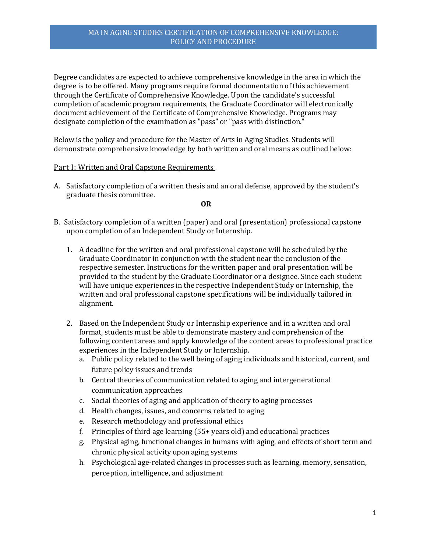Degree candidates are expected to achieve comprehensive knowledge in the area in which the degree is to be offered. Many programs require formal documentation of this achievement through the Certificate of Comprehensive Knowledge. Upon the candidate's successful completion of academic program requirements, the Graduate Coordinator will electronically document achievement of the Certificate of Comprehensive Knowledge. Programs may designate completion of the examination as "pass" or "pass with distinction."

Below is the policy and procedure for the Master of Arts in Aging Studies. Students will demonstrate comprehensive knowledge by both written and oral means as outlined below:

## Part I: Written and Oral Capstone Requirements

A. Satisfactory completion of a written thesis and an oral defense, approved by the student's graduate thesis committee.

#### **OR**

- B. Satisfactory completion of a written (paper) and oral (presentation) professional capstone upon completion of an Independent Study or Internship.
	- 1. A deadline for the written and oral professional capstone will be scheduled by the Graduate Coordinator in conjunction with the student near the conclusion of the respective semester. Instructions for the written paper and oral presentation will be provided to the student by the Graduate Coordinator or a designee. Since each student will have unique experiences in the respective Independent Study or Internship, the written and oral professional capstone specifications will be individually tailored in alignment.
	- 2. Based on the Independent Study or Internship experience and in a written and oral format, students must be able to demonstrate mastery and comprehension of the following content areas and apply knowledge of the content areas to professional practice experiences in the Independent Study or Internship.
		- a. Public policy related to the well being of aging individuals and historical, current, and future policy issues and trends
		- b. Central theories of communication related to aging and intergenerational communication approaches
		- c. Social theories of aging and application of theory to aging processes
		- d. Health changes, issues, and concerns related to aging
		- e. Research methodology and professional ethics
		- f. Principles of third age learning (55+ years old) and educational practices
		- g. Physical aging, functional changes in humans with aging, and effects of short term and chronic physical activity upon aging systems
		- h. Psychological age-related changes in processes such as learning, memory, sensation, perception, intelligence, and adjustment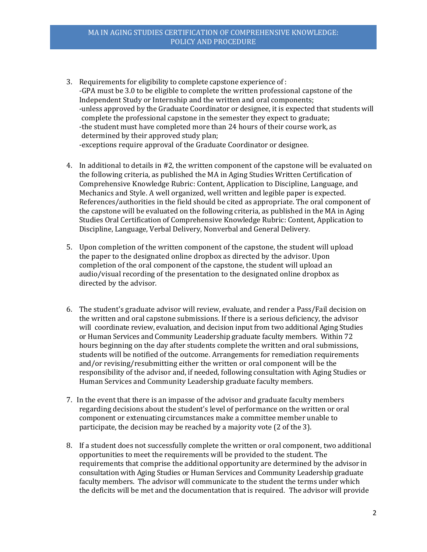- 3. Requirements for eligibility to complete capstone experience of : -GPA must be 3.0 to be eligible to complete the written professional capstone of the Independent Study or Internship and the written and oral components; -unless approved by the Graduate Coordinator or designee, it is expected that students will complete the professional capstone in the semester they expect to graduate; -the student must have completed more than 24 hours of their course work, as determined by their approved study plan; -exceptions require approval of the Graduate Coordinator or designee.
- 4. In additional to details in #2, the written component of the capstone will be evaluated on the following criteria, as published the MA in Aging Studies Written Certification of Comprehensive Knowledge Rubric: Content, Application to Discipline, Language, and Mechanics and Style. A well organized, well written and legible paper is expected. References/authorities in the field should be cited as appropriate. The oral component of the capstone will be evaluated on the following criteria, as published in the MA in Aging Studies Oral Certification of Comprehensive Knowledge Rubric: Content, Application to Discipline, Language, Verbal Delivery, Nonverbal and General Delivery.
- 5. Upon completion of the written component of the capstone, the student will upload the paper to the designated online dropbox as directed by the advisor. Upon completion of the oral component of the capstone, the student will upload an audio/visual recording of the presentation to the designated online dropbox as directed by the advisor.
- 6. The student's graduate advisor will review, evaluate, and render a Pass/Fail decision on the written and oral capstone submissions. If there is a serious deficiency, the advisor will coordinate review, evaluation, and decision input from two additional Aging Studies or Human Services and Community Leadership graduate faculty members. Within 72 hours beginning on the day after students complete the written and oral submissions, students will be notified of the outcome. Arrangements for remediation requirements and/or revising/resubmitting either the written or oral component will be the responsibility of the advisor and, if needed, following consultation with Aging Studies or Human Services and Community Leadership graduate faculty members.
- 7. In the event that there is an impasse of the advisor and graduate faculty members regarding decisions about the student's level of performance on the written or oral component or extenuating circumstances make a committee member unable to participate, the decision may be reached by a majority vote (2 of the 3).
- 8. If a student does not successfully complete the written or oral component, two additional opportunities to meet the requirements will be provided to the student. The requirements that comprise the additional opportunity are determined by the advisor in consultation with Aging Studies or Human Services and Community Leadership graduate faculty members. The advisor will communicate to the student the terms under which the deficits will be met and the documentation that is required. The advisor will provide